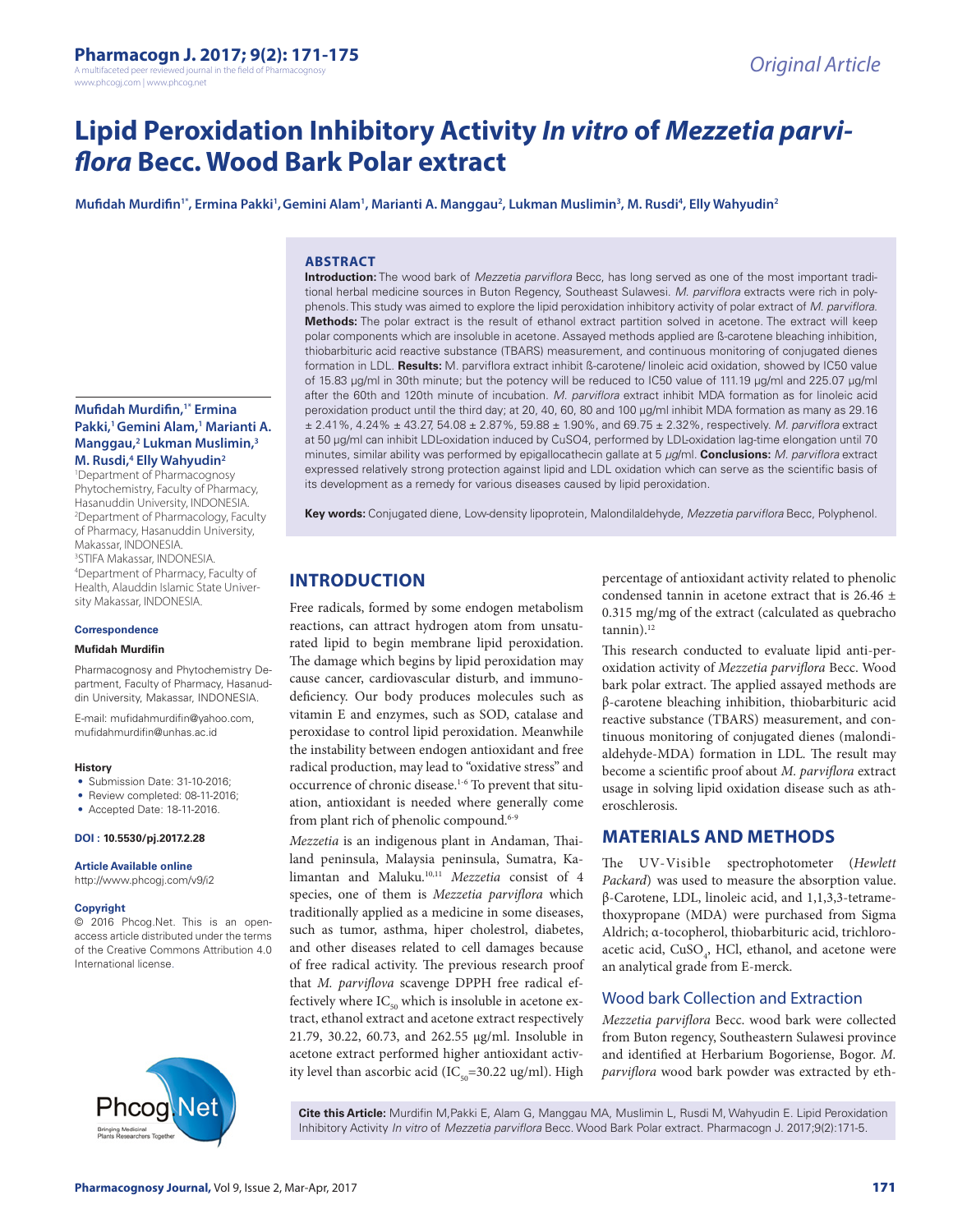A multifaceted peer reviewed journal in the field of Pharmacod www.phcogj.com | www.phcog.net

# **Lipid Peroxidation Inhibitory Activity** *In vitro* **of** *Mezzetia parviflora* **Becc. Wood Bark Polar extract**

Mufidah Murdifin'', Ermina Pakki', Gemini Alam', Marianti A. Manggau<sup>2</sup>, Lukman Muslimin<sup>3</sup>, M. Rusdi<sup>4</sup>, Elly Wahyudin<sup>2</sup>

#### **ABSTRACT**

**Introduction:** The wood bark of *Mezzetia parviflora* Becc, has long served as one of the most important traditional herbal medicine sources in Buton Regency, Southeast Sulawesi. *M. parviflora* extracts were rich in polyphenols. This study was aimed to explore the lipid peroxidation inhibitory activity of polar extract of *M. parviflora*. **Methods:** The polar extract is the result of ethanol extract partition solved in acetone. The extract will keep polar components which are insoluble in acetone. Assayed methods applied are ß-carotene bleaching inhibition, thiobarbituric acid reactive substance (TBARS) measurement, and continuous monitoring of conjugated dienes formation in LDL. **Results:** M. parviflora extract inhibit ß-carotene/ linoleic acid oxidation, showed by IC50 value of 15.83 µg/ml in 30th minute; but the potency will be reduced to IC50 value of 111.19 µg/ml and 225.07 µg/ml after the 60th and 120th minute of incubation. *M. parviflora* extract inhibit MDA formation as for linoleic acid peroxidation product until the third day; at 20, 40, 60, 80 and 100 µg/ml inhibit MDA formation as many as 29.16 ± 2.41%, 4.24% ± 43.27, 54.08 ± 2.87%, 59.88 ± 1.90%, and 69.75 ± 2.32%, respectively. *M. parviflora* extract at 50 µg/ml can inhibit LDL-oxidation induced by CuSO4, performed by LDL-oxidation lag-time elongation until 70 minutes, similar ability was performed by epigallocathecin gallate at 5 *µg*/ml. **Conclusions:** *M. parviflora* extract expressed relatively strong protection against lipid and LDL oxidation which can serve as the scientific basis of its development as a remedy for various diseases caused by lipid peroxidation.

**Key words:** Conjugated diene, Low-density lipoprotein, Malondilaldehyde, *Mezzetia parviflora* Becc, Polyphenol.

### **INTRODUCTION**

Free radicals, formed by some endogen metabolism reactions, can attract hydrogen atom from unsaturated lipid to begin membrane lipid peroxidation. The damage which begins by lipid peroxidation may cause cancer, cardiovascular disturb, and immunodeficiency. Our body produces molecules such as vitamin E and enzymes, such as SOD, catalase and peroxidase to control lipid peroxidation. Meanwhile the instability between endogen antioxidant and free radical production, may lead to "oxidative stress" and occurrence of chronic disease.1-6 To prevent that situation, antioxidant is needed where generally come from plant rich of phenolic compound.<sup>6-9</sup>

*Mezzetia* is an indigenous plant in Andaman, Thailand peninsula, Malaysia peninsula, Sumatra, Kalimantan and Maluku.10,11 *Mezzetia* consist of 4 species, one of them is *Mezzetia parviflora* which traditionally applied as a medicine in some diseases, such as tumor, asthma, hiper cholestrol, diabetes, and other diseases related to cell damages because of free radical activity. The previous research proof that *M. parviflova* scavenge DPPH free radical effectively where  $IC_{50}$  which is insoluble in acetone extract, ethanol extract and acetone extract respectively 21.79, 30.22, 60.73, and 262.55 µg/ml. Insoluble in acetone extract performed higher antioxidant activity level than ascorbic acid ( $IC_{50}$ =30.22 ug/ml). High

percentage of antioxidant activity related to phenolic condensed tannin in acetone extract that is 26.46  $\pm$ 0.315 mg/mg of the extract (calculated as quebracho tannin).<sup>12</sup>

This research conducted to evaluate lipid anti-peroxidation activity of *Mezzetia parviflora* Becc. Wood bark polar extract. The applied assayed methods are β-carotene bleaching inhibition, thiobarbituric acid reactive substance (TBARS) measurement, and continuous monitoring of conjugated dienes (malondialdehyde-MDA) formation in LDL*.* The result may become a scientific proof about *M. parviflora* extract usage in solving lipid oxidation disease such as atheroschlerosis.

## **MATERIALS AND METHODS**

The UV-Visible spectrophotometer (*Hewlett Packard*) was used to measure the absorption value. β-Carotene, LDL, linoleic acid, and 1,1,3,3-tetramethoxypropane (MDA) were purchased from Sigma Aldrich; α-tocopherol, thiobarbituric acid, trichloroacetic acid,  $CuSO_{4}$ , HCl, ethanol, and acetone were an analytical grade from E-merck.

## Wood bark Collection and Extraction

*Mezzetia parviflora* Becc. wood bark were collected from Buton regency, Southeastern Sulawesi province and identified at Herbarium Bogoriense, Bogor. *M. parviflora* wood bark powder was extracted by eth-

**Cite this Article:** Murdifin M,Pakki E, Alam G, Manggau MA, Muslimin L, Rusdi M, Wahyudin E. Lipid Peroxidation Inhibitory Activity *In vitro* of *Mezzetia parviflora* Becc. Wood Bark Polar extract. Pharmacogn J. 2017;9(2):171-5.

#### **Mufidah Murdifin,1\* Ermina Pakki,1 Gemini Alam,1 Marianti A. Manggau,2 Lukman Muslimin,3 M. Rusdi,4 Elly Wahyudin2**

1 Department of Pharmacognosy Phytochemistry, Faculty of Pharmacy, Hasanuddin University, INDONESIA. 2 Department of Pharmacology, Faculty of Pharmacy, Hasanuddin University, Makassar, INDONESIA. 3 STIFA Makassar, INDONESIA. 4 Department of Pharmacy, Faculty of Health, Alauddin Islamic State University Makassar, INDONESIA.

#### **Correspondence**

#### **Mufidah Murdifin**

Pharmacognosy and Phytochemistry Department, Faculty of Pharmacy, Hasanuddin University, Makassar, INDONESIA.

E-mail: mufidahmurdifin@yahoo.com, mufidahmurdifin@unhas.ac.id

#### **History**

- Submission Date: 31-10-2016;
- Review completed: 08-11-2016;
- Accepted Date: 18-11-2016.

#### **DOI : 10.5530/pj.2017.2.28**

**Article Available online** 

http://www.phcogj.com/v9/i2

#### **Copyright**

© 2016 Phcog.Net. This is an openaccess article distributed under the terms of the Creative Commons Attribution 4.0 International license.

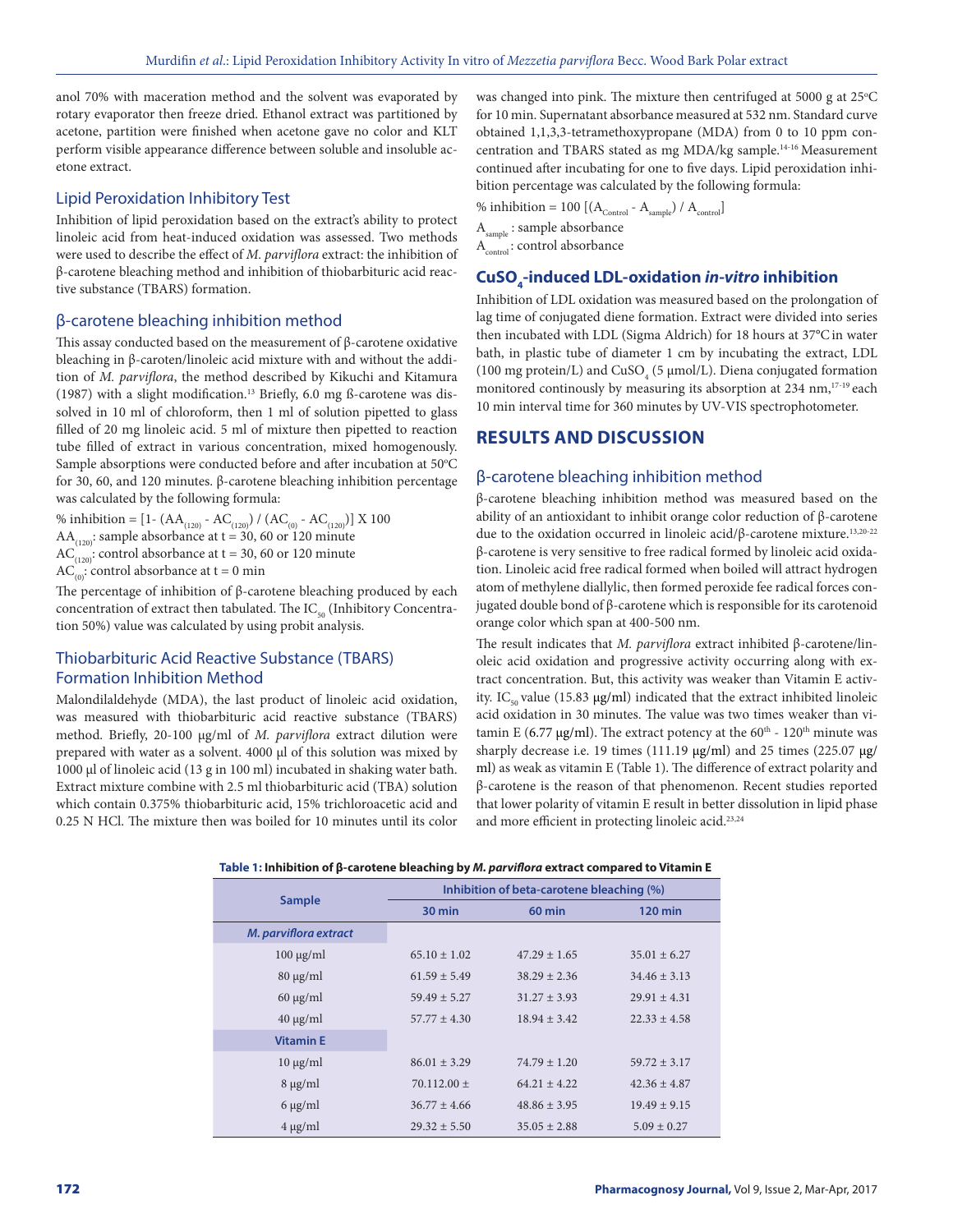anol 70% with maceration method and the solvent was evaporated by rotary evaporator then freeze dried. Ethanol extract was partitioned by acetone, partition were finished when acetone gave no color and KLT perform visible appearance difference between soluble and insoluble acetone extract.

#### Lipid Peroxidation Inhibitory Test

Inhibition of lipid peroxidation based on the extract's ability to protect linoleic acid from heat-induced oxidation was assessed. Two methods were used to describe the effect of *M. parviflora* extract: the inhibition of β-carotene bleaching method and inhibition of thiobarbituric acid reactive substance (TBARS) formation.

#### β-carotene bleaching inhibition method

This assay conducted based on the measurement of β-carotene oxidative bleaching in β-caroten/linoleic acid mixture with and without the addition of *M. parviflora*, the method described by Kikuchi and Kitamura (1987) with a slight modification.13 Briefly, 6.0 mg ß-carotene was dissolved in 10 ml of chloroform, then 1 ml of solution pipetted to glass filled of 20 mg linoleic acid. 5 ml of mixture then pipetted to reaction tube filled of extract in various concentration, mixed homogenously. Sample absorptions were conducted before and after incubation at 50°C for 30, 60, and 120 minutes. β-carotene bleaching inhibition percentage was calculated by the following formula:

% inhibition =  $[1 - (AA_{(120)} - AC_{(120)}) / (AC_{(0)} - AC_{(120)})] X 100$ AA<sub>(120)</sub>: sample absorbance at t = 30, 60 or 120 minute AC<sub>(120)</sub>: control absorbance at t = 30, 60 or 120 minute  $AC<sub>(0)</sub>$ : control absorbance at t = 0 min

The percentage of inhibition of β-carotene bleaching produced by each concentration of extract then tabulated. The  $IC_{50}$  (Inhibitory Concentration 50%) value was calculated by using probit analysis.

#### Thiobarbituric Acid Reactive Substance (TBARS) Formation Inhibition Method

Malondilaldehyde (MDA), the last product of linoleic acid oxidation, was measured with thiobarbituric acid reactive substance (TBARS) method. Briefly, 20-100 µg/ml of *M. parviflora* extract dilution were prepared with water as a solvent. 4000 µl of this solution was mixed by 1000 µl of linoleic acid (13 g in 100 ml) incubated in shaking water bath. Extract mixture combine with 2.5 ml thiobarbituric acid (TBA) solution which contain 0.375% thiobarbituric acid, 15% trichloroacetic acid and 0.25 N HCl. The mixture then was boiled for 10 minutes until its color was changed into pink. The mixture then centrifuged at 5000 g at 25°C for 10 min. Supernatant absorbance measured at 532 nm. Standard curve obtained 1,1,3,3-tetramethoxypropane (MDA) from 0 to 10 ppm concentration and TBARS stated as mg MDA/kg sample.14-16 Measurement continued after incubating for one to five days. Lipid peroxidation inhibition percentage was calculated by the following formula:

% inhibition = 100  $[(A_{\text{Control}} - A_{\text{sample}}) / A_{\text{control}}]$ 

Asample : sample absorbance

Acontrol : control absorbance

# **CuSO4 -induced LDL-oxidation** *in-vitro* **inhibition**

Inhibition of LDL oxidation was measured based on the prolongation of lag time of conjugated diene formation. Extract were divided into series then incubated with LDL (Sigma Aldrich) for 18 hours at 37°Cin water bath, in plastic tube of diameter 1 cm by incubating the extract, LDL (100 mg protein/L) and CuSO<sub>4</sub> (5  $\mu$ mol/L). Diena conjugated formation monitored continously by measuring its absorption at 234 nm,<sup>17-19</sup> each 10 min interval time for 360 minutes by UV-VIS spectrophotometer.

## **RESULTS AND DISCUSSION**

#### β-carotene bleaching inhibition method

β-carotene bleaching inhibition method was measured based on the ability of an antioxidant to inhibit orange color reduction of β-carotene due to the oxidation occurred in linoleic acid/β-carotene mixture.<sup>13,20-22</sup> β-carotene is very sensitive to free radical formed by linoleic acid oxidation. Linoleic acid free radical formed when boiled will attract hydrogen atom of methylene diallylic, then formed peroxide fee radical forces conjugated double bond of β-carotene which is responsible for its carotenoid orange color which span at 400-500 nm.

The result indicates that *M. parviflora* extract inhibited β-carotene/linoleic acid oxidation and progressive activity occurring along with extract concentration. But, this activity was weaker than Vitamin E activity. IC<sub>50</sub> value (15.83  $\mu$ g/ml) indicated that the extract inhibited linoleic acid oxidation in 30 minutes. The value was two times weaker than vitamin E (6.77  $\mu$ g/ml). The extract potency at the 60<sup>th</sup> - 120<sup>th</sup> minute was sharply decrease i.e. 19 times (111.19 µg/ml) and 25 times (225.07 µg/ ml) as weak as vitamin E (Table 1). The difference of extract polarity and β-carotene is the reason of that phenomenon. Recent studies reported that lower polarity of vitamin E result in better dissolution in lipid phase and more efficient in protecting linoleic acid.23,24

| Table 1: Inhibition of $\beta$ -carotene bleaching by M. parviflora extract compared to Vitamin E |  |
|---------------------------------------------------------------------------------------------------|--|
|---------------------------------------------------------------------------------------------------|--|

| <b>Sample</b>         | Inhibition of beta-carotene bleaching (%) |                  |                  |
|-----------------------|-------------------------------------------|------------------|------------------|
|                       | 30 min                                    | <b>60 min</b>    | <b>120 min</b>   |
| M. parviflora extract |                                           |                  |                  |
| $100 \mu g/ml$        | $65.10 \pm 1.02$                          | $47.29 \pm 1.65$ | $35.01 + 6.27$   |
| $80 \mu g/ml$         | $61.59 \pm 5.49$                          | $38.29 \pm 2.36$ | $34.46 \pm 3.13$ |
| $60 \mu g/ml$         | $59.49 \pm 5.27$                          | $31.27 \pm 3.93$ | $29.91 \pm 4.31$ |
| $40 \mu g/ml$         | $57.77 + 4.30$                            | $18.94 \pm 3.42$ | $22.33 + 4.58$   |
| <b>Vitamin E</b>      |                                           |                  |                  |
| $10 \mu g/ml$         | $86.01 + 3.29$                            | $74.79 \pm 1.20$ | $59.72 \pm 3.17$ |
| $8 \mu g/ml$          | $70.112.00 \pm$                           | $64.21 + 4.22$   | $42.36 \pm 4.87$ |
| $6 \mu g/ml$          | $36.77 + 4.66$                            | $48.86 \pm 3.95$ | $19.49 \pm 9.15$ |
| $4 \mu g/ml$          | $29.32 + 5.50$                            | $35.05 + 2.88$   | $5.09 + 0.27$    |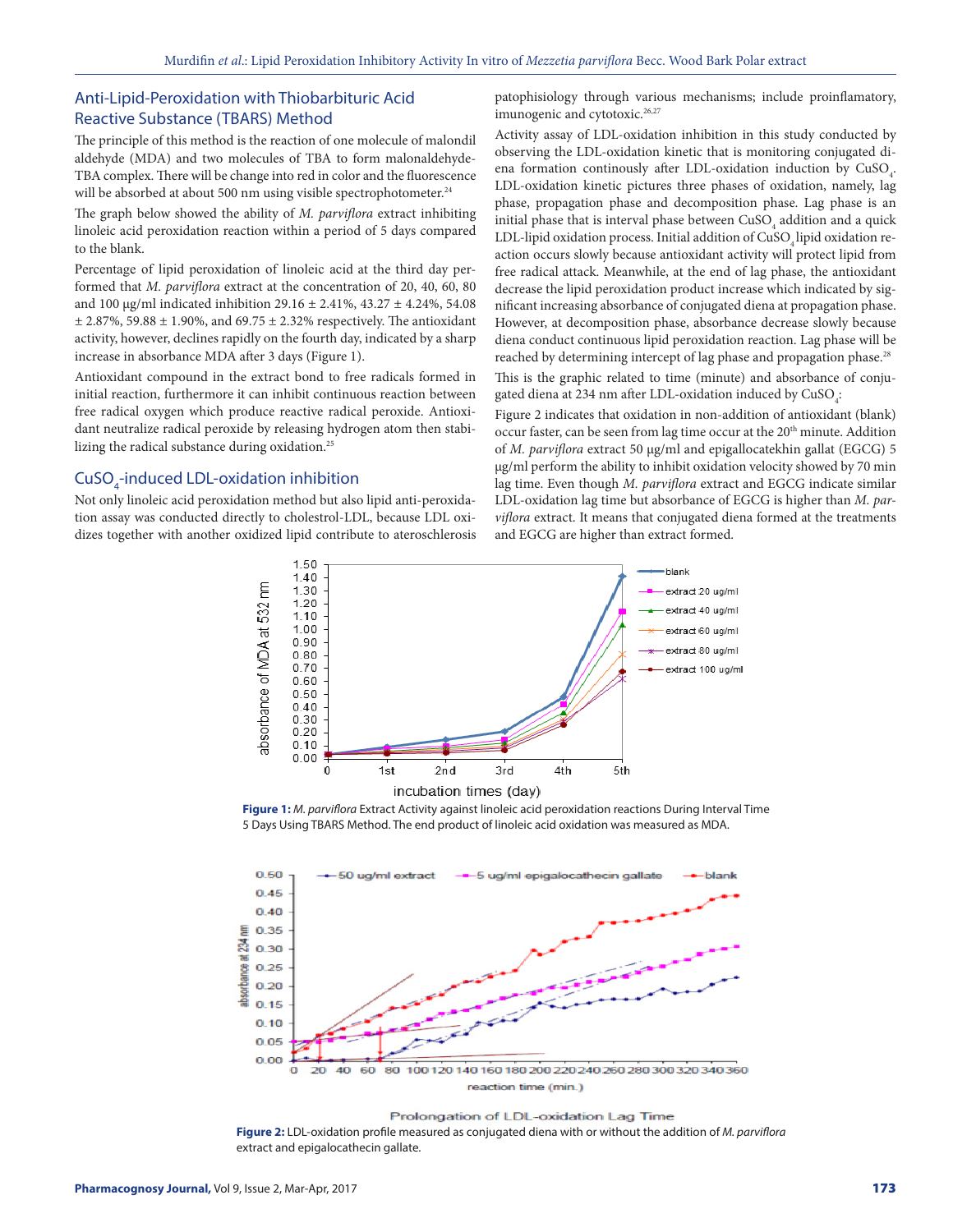## Anti-Lipid-Peroxidation with Thiobarbituric Acid Reactive Substance (TBARS) Method

The principle of this method is the reaction of one molecule of malondil aldehyde (MDA) and two molecules of TBA to form malonaldehyde-TBA complex. There will be change into red in color and the fluorescence will be absorbed at about 500 nm using visible spectrophotometer.<sup>24</sup>

The graph below showed the ability of *M. parviflora* extract inhibiting linoleic acid peroxidation reaction within a period of 5 days compared to the blank.

Percentage of lipid peroxidation of linoleic acid at the third day performed that *M. parviflora* extract at the concentration of 20, 40, 60, 80 and 100  $\mu$ g/ml indicated inhibition 29.16 ± 2.41%, 43.27 ± 4.24%, 54.08  $\pm$  2.87%, 59.88  $\pm$  1.90%, and 69.75  $\pm$  2.32% respectively. The antioxidant activity, however, declines rapidly on the fourth day, indicated by a sharp increase in absorbance MDA after 3 days (Figure 1).

Antioxidant compound in the extract bond to free radicals formed in initial reaction, furthermore it can inhibit continuous reaction between free radical oxygen which produce reactive radical peroxide. Antioxidant neutralize radical peroxide by releasing hydrogen atom then stabilizing the radical substance during oxidation.<sup>25</sup>

# CuSO<sub>4</sub>-induced LDL-oxidation inhibition

Not only linoleic acid peroxidation method but also lipid anti-peroxidation assay was conducted directly to cholestrol-LDL, because LDL oxidizes together with another oxidized lipid contribute to ateroschlerosis patophisiology through various mechanisms; include proinflamatory, imunogenic and cytotoxic.<sup>26,27</sup>

Activity assay of LDL-oxidation inhibition in this study conducted by observing the LDL-oxidation kinetic that is monitoring conjugated diena formation continously after LDL-oxidation induction by CuSO<sub>4</sub>. LDL-oxidation kinetic pictures three phases of oxidation, namely, lag phase, propagation phase and decomposition phase. Lag phase is an initial phase that is interval phase between  $\mathrm{CuSO}_4$  addition and a quick LDL-lipid oxidation process. Initial addition of CuSO<sub>4</sub> lipid oxidation reaction occurs slowly because antioxidant activity will protect lipid from free radical attack. Meanwhile, at the end of lag phase, the antioxidant decrease the lipid peroxidation product increase which indicated by significant increasing absorbance of conjugated diena at propagation phase. However, at decomposition phase, absorbance decrease slowly because diena conduct continuous lipid peroxidation reaction. Lag phase will be reached by determining intercept of lag phase and propagation phase.<sup>28</sup>

This is the graphic related to time (minute) and absorbance of conjugated diena at 234 nm after LDL-oxidation induced by  $\mathrm{CuSO}_4$ :

Figure 2 indicates that oxidation in non-addition of antioxidant (blank) occur faster, can be seen from lag time occur at the 20<sup>th</sup> minute. Addition of *M. parviflora* extract 50 µg/ml and epigallocatekhin gallat (EGCG) 5 µg/ml perform the ability to inhibit oxidation velocity showed by 70 min lag time. Even though *M. parviflora* extract and EGCG indicate similar LDL-oxidation lag time but absorbance of EGCG is higher than *M. parviflora* extract. It means that conjugated diena formed at the treatments and EGCG are higher than extract formed.



**Figure 1:** *M. parviflora* Extract Activity against linoleic acid peroxidation reactions During Interval Time 5 Days Using TBARS Method. The end product of linoleic acid oxidation was measured as MDA.



Prolongation of LDL-oxidation Lag Time

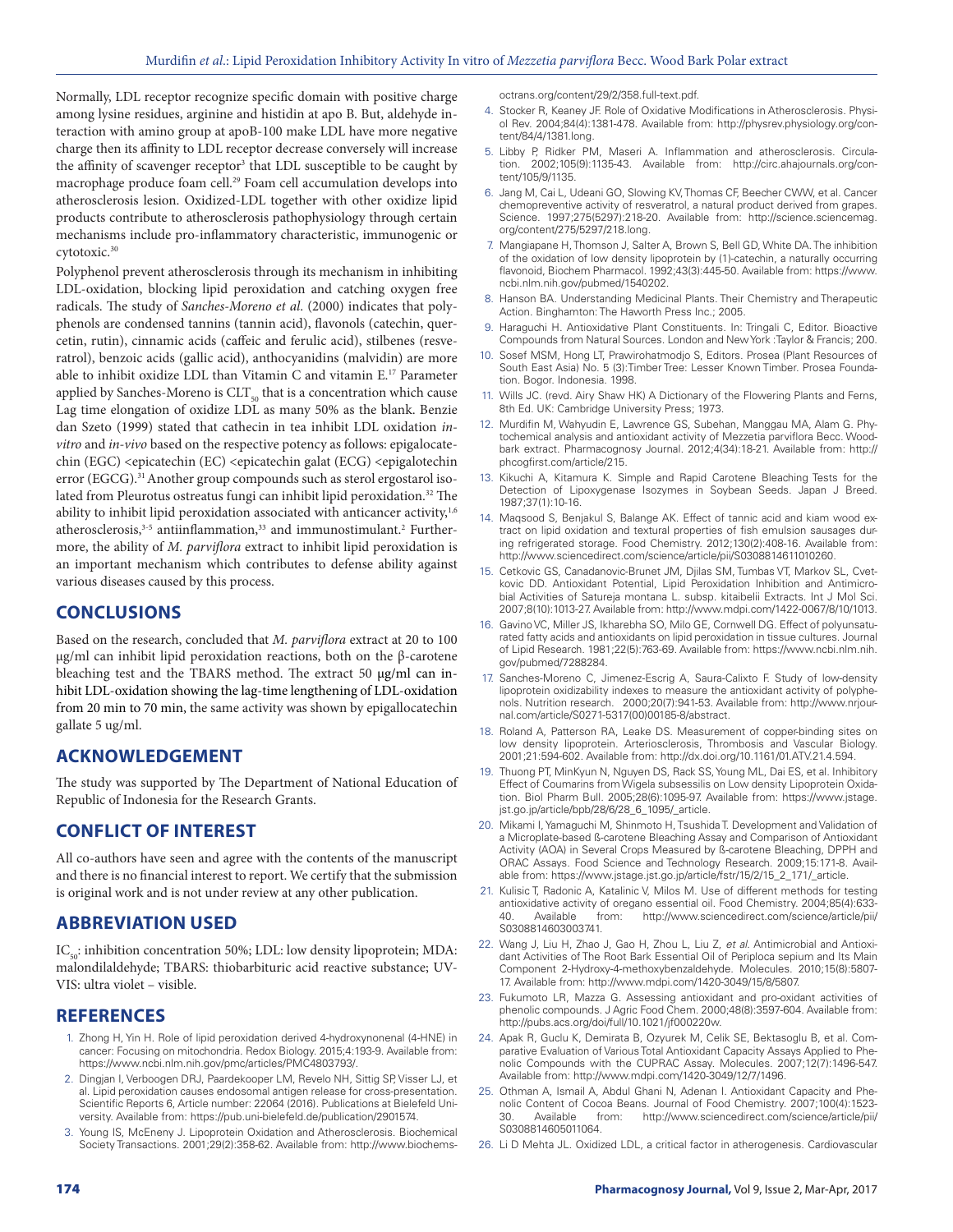Normally, LDL receptor recognize specific domain with positive charge among lysine residues, arginine and histidin at apo B. But, aldehyde interaction with amino group at apoB-100 make LDL have more negative charge then its affinity to LDL receptor decrease conversely will increase the affinity of scavenger receptor<sup>3</sup> that LDL susceptible to be caught by macrophage produce foam cell.29 Foam cell accumulation develops into atherosclerosis lesion. Oxidized-LDL together with other oxidize lipid products contribute to atherosclerosis pathophysiology through certain mechanisms include pro-inflammatory characteristic, immunogenic or cytotoxic.<sup>30</sup>

Polyphenol prevent atherosclerosis through its mechanism in inhibiting LDL-oxidation, blocking lipid peroxidation and catching oxygen free radicals. The study of *Sanches-Moreno et al*. (2000) indicates that polyphenols are condensed tannins (tannin acid), flavonols (catechin, quercetin, rutin), cinnamic acids (caffeic and ferulic acid), stilbenes (resveratrol), benzoic acids (gallic acid), anthocyanidins (malvidin) are more able to inhibit oxidize LDL than Vitamin C and vitamin E.17 Parameter applied by Sanches-Moreno is  $CLT<sub>50</sub>$  that is a concentration which cause Lag time elongation of oxidize LDL as many 50% as the blank. Benzie dan Szeto (1999) stated that cathecin in tea inhibit LDL oxidation *invitro* and *in-vivo* based on the respective potency as follows: epigalocatechin (EGC) <epicatechin (EC) <epicatechin galat (ECG) <epigalotechin error (EGCG).<sup>31</sup> Another group compounds such as sterol ergostarol isolated from Pleurotus ostreatus fungi can inhibit lipid peroxidation.<sup>32</sup> The ability to inhibit lipid peroxidation associated with anticancer activity,<sup>1,6</sup> atherosclerosis,<sup>3-5</sup> antiinflammation,<sup>33</sup> and immunostimulant.<sup>2</sup> Furthermore, the ability of *M. parviflora* extract to inhibit lipid peroxidation is an important mechanism which contributes to defense ability against various diseases caused by this process.

### **CONCLUSIONS**

Based on the research, concluded that *M. parviflora* extract at 20 to 100 µg/ml can inhibit lipid peroxidation reactions, both on the β-carotene bleaching test and the TBARS method. The extract 50 µg/ml can inhibit LDL-oxidation showing the lag-time lengthening of LDL-oxidation from 20 min to 70 min, the same activity was shown by epigallocatechin gallate 5 ug/ml.

#### **ACKNOWLEDGEMENT**

The study was supported by The Department of National Education of Republic of Indonesia for the Research Grants.

## **CONFLICT OF INTEREST**

All co-authors have seen and agree with the contents of the manuscript and there is no financial interest to report. We certify that the submission is original work and is not under review at any other publication.

#### **ABBREVIATION USED**

IC<sub>50</sub>: inhibition concentration 50%; LDL: low density lipoprotein; MDA: malondilaldehyde; TBARS: thiobarbituric acid reactive substance; UV-VIS: ultra violet – visible.

#### **REFERENCES**

- 1. Zhong H, Yin H. Role of lipid peroxidation derived 4-hydroxynonenal (4-HNE) in cancer: Focusing on mitochondria. Redox Biology. 2015;4:193-9. Available from: https://www.ncbi.nlm.nih.gov/pmc/articles/PMC4803793/.
- 2. Dingjan I, Verboogen DRJ, Paardekooper LM, Revelo NH, Sittig SP, Visser LJ, et al. Lipid peroxidation causes endosomal antigen release for cross-presentation. Scientific Reports 6, Article number: 22064 (2016). Publications at Bielefeld University. Available from: https://pub.uni-bielefeld.de/publication/2901574.
- 3. Young IS, McEneny J. Lipoprotein Oxidation and Atherosclerosis. Biochemical Society Transactions. 2001;29(2):358-62. Available from: http://www.biochems-

octrans.org/content/29/2/358.full-text.pdf.

- 4. Stocker R, Keaney JF. Role of Oxidative Modifications in Atherosclerosis. Physiol Rev. 2004;84(4):1381-478. Available from: http://physrev.physiology.org/content/84/4/1381.long.
- 5. Libby P, Ridker PM, Maseri A. Inflammation and atherosclerosis. Circulation. 2002;105(9):1135-43. Available from: http://circ.ahajournals.org/content/105/9/1135.
- 6. Jang M, Cai L, Udeani GO, Slowing KV, Thomas CF, Beecher CWW, et al. Cancer chemopreventive activity of resveratrol, a natural product derived from grapes. Science. 1997;275(5297):218-20. Available from: http://science.sciencemag. org/content/275/5297/218.long.
- 7. Mangiapane H, Thomson J, Salter A, Brown S, Bell GD, White DA. The inhibition of the oxidation of low density lipoprotein by (1)-catechin, a naturally occurring flavonoid, Biochem Pharmacol. 1992;43(3):445-50. Available from: https://www. ncbi.nlm.nih.gov/pubmed/1540202.
- 8. Hanson BA. Understanding Medicinal Plants. Their Chemistry and Therapeutic Action. Binghamton: The Haworth Press Inc.; 2005.
- 9. Haraguchi H. Antioxidative Plant Constituents. In: Tringali C, Editor. Bioactive Compounds from Natural Sources. London and New York :Taylor & Francis; 200.
- 10. Sosef MSM, Hong LT, Prawirohatmodjo S, Editors. Prosea (Plant Resources of South East Asia) No. 5 (3):Timber Tree: Lesser Known Timber. Prosea Foundation. Bogor. Indonesia. 1998.
- 11. Wills JC. (revd. Airy Shaw HK) A Dictionary of the Flowering Plants and Ferns, 8th Ed. UK: Cambridge University Press; 1973.
- 12. Murdifin M, Wahyudin E, Lawrence GS, Subehan, Manggau MA, Alam G. Phytochemical analysis and antioxidant activity of Mezzetia parviflora Becc. Woodbark extract. Pharmacognosy Journal. 2012;4(34):18-21. Available from: http:// phcogfirst.com/article/215.
- 13. Kikuchi A, Kitamura K. Simple and Rapid Carotene Bleaching Tests for the Detection of Lipoxygenase Isozymes in Soybean Seeds. Japan J Breed. 1987;37(1):10-16.
- 14. Maqsood S, Benjakul S, Balange AK. Effect of tannic acid and kiam wood extract on lipid oxidation and textural properties of fish emulsion sausages during refrigerated storage. Food Chemistry. 2012;130(2):408-16. Available from: http://www.sciencedirect.com/science/article/pii/S0308814611010260.
- 15. Cetkovic GS, Canadanovic-Brunet JM, Djilas SM, Tumbas VT, Markov SL, Cvetkovic DD. Antioxidant Potential, Lipid Peroxidation Inhibition and Antimicrobial Activities of Satureja montana L. subsp. kitaibelii Extracts. Int J Mol Sci. 2007;8(10):1013-27. Available from: http://www.mdpi.com/1422-0067/8/10/1013.
- 16. Gavino VC, Miller JS, Ikharebha SO, Milo GE, Cornwell DG. Effect of polyunsaturated fatty acids and antioxidants on lipid peroxidation in tissue cultures. Journal of Lipid Research. 1981;22(5):763-69. Available from: https://www.ncbi.nlm.nih. gov/pubmed/7288284.
- 17. Sanches-Moreno C, Jimenez-Escrig A, Saura-Calixto F. Study of low-density lipoprotein oxidizability indexes to measure the antioxidant activity of polyphenols. Nutrition research. 2000;20(7):941-53. Available from: http://www.nrjournal.com/article/S0271-5317(00)00185-8/abstract.
- 18. Roland A, Patterson RA, Leake DS. Measurement of copper-binding sites on low density lipoprotein. Arteriosclerosis, Thrombosis and Vascular Biology. 2001;21:594-602. Available from: http://dx.doi.org/10.1161/01.ATV.21.4.594.
- 19. Thuong PT, MinKyun N, Nguyen DS, Rack SS, Young ML, Dai ES, et al. Inhibitory Effect of Coumarins from Wigela subsessilis on Low density Lipoprotein Oxidation. Biol Pharm Bull. 2005;28(6):1095-97. Available from: https://www.jstage. jst.go.jp/article/bpb/28/6/28\_6\_1095/\_article.
- 20. Mikami I, Yamaguchi M, Shinmoto H, Tsushida T. Development and Validation of a Microplate-based ß-carotene Bleaching Assay and Comparison of Antioxidant Activity (AOA) in Several Crops Measured by ß-carotene Bleaching, DPPH and ORAC Assays. Food Science and Technology Research. 2009;15:171-8. Available from: https://www.jstage.jst.go.jp/article/fstr/15/2/15\_2\_171/\_article.
- 21. Kulisic T, Radonic A, Katalinic V, Milos M. Use of different methods for testing antioxidative activity of oregano essential oil. Food Chemistry. 2004;85(4):633- 40. Available from: http://www.sciencedirect.com/science/article/pii/ S0308814603003741.
- 22. Wang J, Liu H, Zhao J, Gao H, Zhou L, Liu Z, *et al*. Antimicrobial and Antioxidant Activities of The Root Bark Essential Oil of Periploca sepium and Its Main Component 2-Hydroxy-4-methoxybenzaldehyde. Molecules. 2010;15(8):5807- 17. Available from: http://www.mdpi.com/1420-3049/15/8/5807.
- 23. Fukumoto LR, Mazza G. Assessing antioxidant and pro-oxidant activities of phenolic compounds. J Agric Food Chem. 2000;48(8):3597-604. Available from: http://pubs.acs.org/doi/full/10.1021/jf000220w.
- 24. Apak R, Guclu K, Demirata B, Ozyurek M, Celik SE, Bektasoglu B, et al. Comparative Evaluation of Various Total Antioxidant Capacity Assays Applied to Phenolic Compounds with the CUPRAC Assay. Molecules. 2007;12(7):1496-547. Available from: http://www.mdpi.com/1420-3049/12/7/1496.
- 25. Othman A, Ismail A, Abdul Ghani N, Adenan I. Antioxidant Capacity and Phenolic Content of Cocoa Beans. Journal of Food Chemistry. 2007;100(4):1523-<br>30. Available from: http://www.sciencedirect.com/science/article/pii/ 30. Available from: http://www.sciencedirect.com/science/article/pii/ S0308814605011064.
- 26. Li D Mehta JL. Oxidized LDL, a critical factor in atherogenesis. Cardiovascular